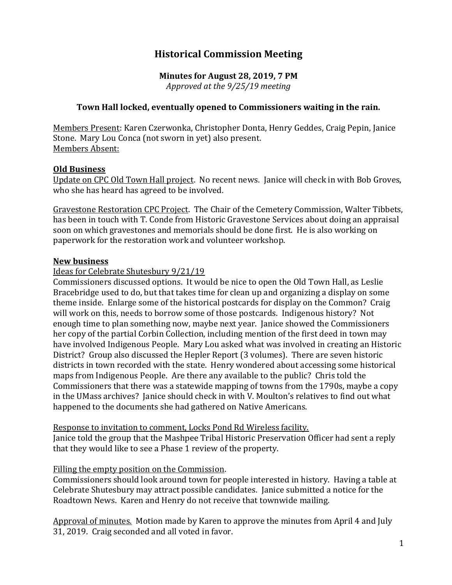# **Historical Commission Meeting**

# **Minutes for August 28, 2019, 7 PM**

*Approved at the 9/25/19 meeting*

# **Town Hall locked, eventually opened to Commissioners waiting in the rain.**

Members Present: Karen Czerwonka, Christopher Donta, Henry Geddes, Craig Pepin, Janice Stone. Mary Lou Conca (not sworn in yet) also present. Members Absent:

#### **Old Business**

Update on CPC Old Town Hall project. No recent news. Janice will check in with Bob Groves, who she has heard has agreed to be involved.

Gravestone Restoration CPC Project. The Chair of the Cemetery Commission, Walter Tibbets, has been in touch with T. Conde from Historic Gravestone Services about doing an appraisal soon on which gravestones and memorials should be done first. He is also working on paperwork for the restoration work and volunteer workshop.

#### **New business**

# Ideas for Celebrate Shutesbury 9/21/19

Commissioners discussed options. It would be nice to open the Old Town Hall, as Leslie Bracebridge used to do, but that takes time for clean up and organizing a display on some theme inside. Enlarge some of the historical postcards for display on the Common? Craig will work on this, needs to borrow some of those postcards. Indigenous history? Not enough time to plan something now, maybe next year. Janice showed the Commissioners her copy of the partial Corbin Collection, including mention of the first deed in town may have involved Indigenous People. Mary Lou asked what was involved in creating an Historic District? Group also discussed the Hepler Report (3 volumes). There are seven historic districts in town recorded with the state. Henry wondered about accessing some historical maps from Indigenous People. Are there any available to the public? Chris told the Commissioners that there was a statewide mapping of towns from the 1790s, maybe a copy in the UMass archives? Janice should check in with V. Moulton's relatives to find out what happened to the documents she had gathered on Native Americans.

Response to invitation to comment, Locks Pond Rd Wireless facility. Janice told the group that the Mashpee Tribal Historic Preservation Officer had sent a reply that they would like to see a Phase 1 review of the property.

#### Filling the empty position on the Commission.

Commissioners should look around town for people interested in history. Having a table at Celebrate Shutesbury may attract possible candidates. Janice submitted a notice for the Roadtown News. Karen and Henry do not receive that townwide mailing.

Approval of minutes. Motion made by Karen to approve the minutes from April 4 and July 31, 2019. Craig seconded and all voted in favor.